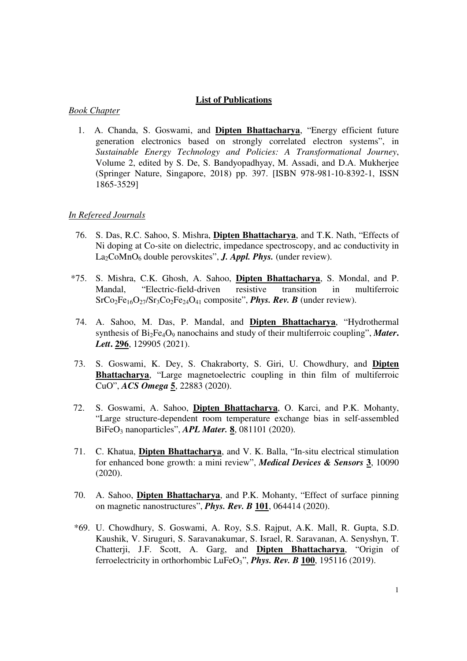## **List of Publications**

## *Book Chapter*

 1. A. Chanda, S. Goswami, and **Dipten Bhattacharya**, "Energy efficient future generation electronics based on strongly correlated electron systems", in *Sustainable Energy Technology and Policies: A Transformational Journey*, Volume 2, edited by S. De, S. Bandyopadhyay, M. Assadi, and D.A. Mukherjee (Springer Nature, Singapore, 2018) pp. 397. [ISBN 978-981-10-8392-1, ISSN 1865-3529]

## *In Refereed Journals*

- 76. S. Das, R.C. Sahoo, S. Mishra, **Dipten Bhattacharya**, and T.K. Nath, "Effects of Ni doping at Co-site on dielectric, impedance spectroscopy, and ac conductivity in La<sub>2</sub>CoMnO<sub>6</sub> double perovskites", *J. Appl. Phys.* (under review).
- \*75. S. Mishra, C.K. Ghosh, A. Sahoo, **Dipten Bhattacharya**, S. Mondal, and P. Mandal, "Electric-field-driven resistive transition in multiferroic SrCo<sub>2</sub>Fe<sub>16</sub>O<sub>27</sub>/Sr<sub>3</sub>Co<sub>2</sub>Fe<sub>24</sub>O<sub>41</sub> composite", *Phys. Rev. B* (under review).
- 74. A. Sahoo, M. Das, P. Mandal, and **Dipten Bhattacharya**, "Hydrothermal synthesis of Bi<sub>2</sub>Fe<sub>4</sub>O<sub>9</sub> nanochains and study of their multiferroic coupling", *Mater*. *Lett***. 296**, 129905 (2021).
- 73. S. Goswami, K. Dey, S. Chakraborty, S. Giri, U. Chowdhury, and **Dipten Bhattacharya**, "Large magnetoelectric coupling in thin film of multiferroic CuO", *ACS Omega* **5**, 22883 (2020).
- 72. S. Goswami, A. Sahoo, **Dipten Bhattacharya**, O. Karci, and P.K. Mohanty, "Large structure-dependent room temperature exchange bias in self-assembled BiFeO3 nanoparticles", *APL Mater.* **8**, 081101 (2020).
- 71. C. Khatua, **Dipten Bhattacharya**, and V. K. Balla, "In-situ electrical stimulation for enhanced bone growth: a mini review", *Medical Devices & Sensors* **3**, 10090 (2020).
- 70. A. Sahoo, **Dipten Bhattacharya**, and P.K. Mohanty, "Effect of surface pinning on magnetic nanostructures", *Phys. Rev. B* **101**, 064414 (2020).
- \*69. U. Chowdhury, S. Goswami, A. Roy, S.S. Rajput, A.K. Mall, R. Gupta, S.D. Kaushik, V. Siruguri, S. Saravanakumar, S. Israel, R. Saravanan, A. Senyshyn, T. Chatterji, J.F. Scott, A. Garg, and **Dipten Bhattacharya**, "Origin of ferroelectricity in orthorhombic LuFe $O_3$ ", *Phys. Rev. B* 100, 195116 (2019).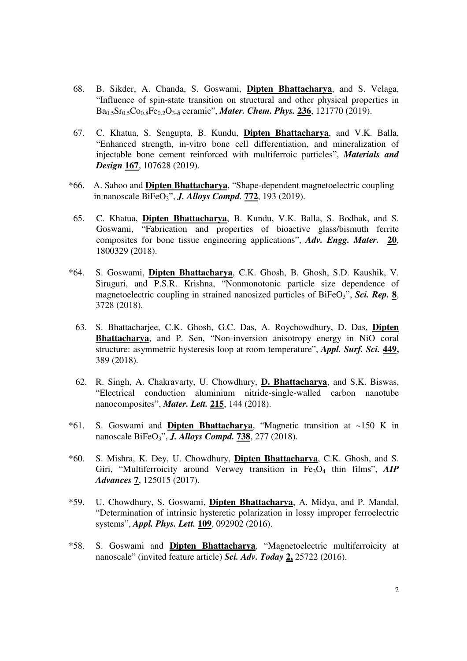- 68. B. Sikder, A. Chanda, S. Goswami, **Dipten Bhattacharya**, and S. Velaga, "Influence of spin-state transition on structural and other physical properties in Ba0.5Sr0.5Co0.8Fe0.2O3-<sup>δ</sup> ceramic", *Mater. Chem. Phys.* **236**, 121770 (2019).
- 67. C. Khatua, S. Sengupta, B. Kundu, **Dipten Bhattacharya**, and V.K. Balla, "Enhanced strength, in-vitro bone cell differentiation, and mineralization of injectable bone cement reinforced with multiferroic particles", *Materials and Design* **167**, 107628 (2019).
- \*66. A. Sahoo and **Dipten Bhattacharya**, "Shape-dependent magnetoelectric coupling in nanoscale BiFeO3", *J. Alloys Compd.* **772**, 193 (2019).
- 65. C. Khatua, **Dipten Bhattacharya**, B. Kundu, V.K. Balla, S. Bodhak, and S. Goswami, "Fabrication and properties of bioactive glass/bismuth ferrite composites for bone tissue engineering applications", *Adv. Engg. Mater.* **20**, 1800329 (2018).
- \*64. S. Goswami, **Dipten Bhattacharya**, C.K. Ghosh, B. Ghosh, S.D. Kaushik, V. Siruguri, and P.S.R. Krishna, "Nonmonotonic particle size dependence of magnetoelectric coupling in strained nanosized particles of BiFeO<sub>3</sub>", *Sci. Rep.* 8, 3728 (2018).
	- 63. S. Bhattacharjee, C.K. Ghosh, G.C. Das, A. Roychowdhury, D. Das, **Dipten Bhattacharya**, and P. Sen, "Non-inversion anisotropy energy in NiO coral structure: asymmetric hysteresis loop at room temperature", *Appl. Surf. Sci.* **449,**  389 (2018).
	- 62. R. Singh, A. Chakravarty, U. Chowdhury, **D. Bhattacharya**, and S.K. Biswas, "Electrical conduction aluminium nitride-single-walled carbon nanotube nanocomposites", *Mater. Lett.* **215**, 144 (2018).
- \*61. S. Goswami and **Dipten Bhattacharya**, "Magnetic transition at ~150 K in nanoscale BiFeO3", *J. Alloys Compd.* **738**, 277 (2018).
- \*60. S. Mishra, K. Dey, U. Chowdhury, **Dipten Bhattacharya**, C.K. Ghosh, and S. Giri, "Multiferroicity around Verwey transition in Fe<sub>3</sub>O<sub>4</sub> thin films", *AIP Advances* **7**, 125015 (2017).
- \*59. U. Chowdhury, S. Goswami, **Dipten Bhattacharya**, A. Midya, and P. Mandal, "Determination of intrinsic hysteretic polarization in lossy improper ferroelectric systems", *Appl. Phys. Lett.* **109**, 092902 (2016).
- \*58. S. Goswami and **Dipten Bhattacharya**, "Magnetoelectric multiferroicity at nanoscale" (invited feature article) *Sci. Adv. Today* **2,** 25722 (2016).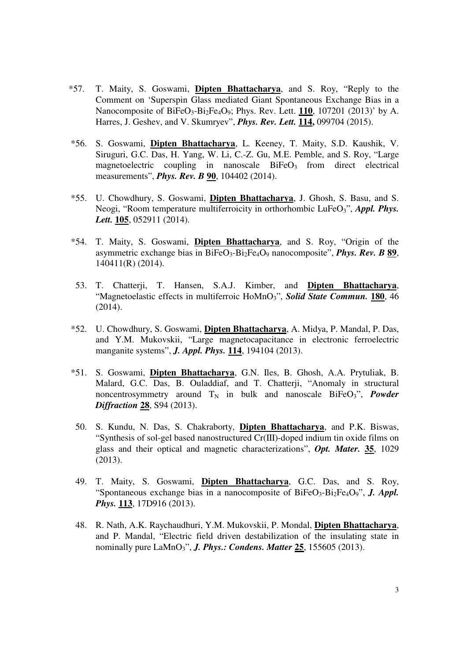- \*57. T. Maity, S. Goswami, **Dipten Bhattacharya**, and S. Roy, "Reply to the Comment on 'Superspin Glass mediated Giant Spontaneous Exchange Bias in a Nanocomposite of BiFeO<sub>3</sub>-Bi<sub>2</sub>Fe<sub>4</sub>O<sub>9</sub>; Phys. Rev. Lett. **110**, 107201 (2013)' by A. Harres, J. Geshev, and V. Skumryev", *Phys. Rev. Lett.* **114,** 099704 (2015).
- \*56. S. Goswami, **Dipten Bhattacharya**, L. Keeney, T. Maity, S.D. Kaushik, V. Siruguri, G.C. Das, H. Yang, W. Li, C.-Z. Gu, M.E. Pemble, and S. Roy, "Large magnetoelectric coupling in nanoscale  $BiFeO<sub>3</sub>$  from direct electrical measurements", *Phys. Rev. B* **90**, 104402 (2014).
- \*55. U. Chowdhury, S. Goswami, **Dipten Bhattacharya**, J. Ghosh, S. Basu, and S. Neogi, "Room temperature multiferroicity in orthorhombic LuFeO<sub>3</sub>", *Appl. Phys. Lett.* **105**, 052911 (2014).
- \*54. T. Maity, S. Goswami, **Dipten Bhattacharya**, and S. Roy, "Origin of the asymmetric exchange bias in BiFeO3-Bi2Fe4O9 nanocomposite", *Phys. Rev. B* **89**, 140411(R) (2014).
- 53. T. Chatterji, T. Hansen, S.A.J. Kimber, and **Dipten Bhattacharya**, "Magnetoelastic effects in multiferroic HoMnO<sub>3</sub>", *Solid State Commun.* 180, 46 (2014).
- \*52. U. Chowdhury, S. Goswami, **Dipten Bhattacharya**, A. Midya, P. Mandal, P. Das, and Y.M. Mukovskii, "Large magnetocapacitance in electronic ferroelectric manganite systems", *J. Appl. Phys.* **114**, 194104 (2013).
- \*51. S. Goswami, **Dipten Bhattacharya**, G.N. Iles, B. Ghosh, A.A. Prytuliak, B. Malard, G.C. Das, B. Ouladdiaf, and T. Chatterji, "Anomaly in structural noncentrosymmetry around  $T_N$  in bulk and nanoscale BiFeO<sub>3</sub>", *Powder Diffraction* **28**, S94 (2013).
- 50. S. Kundu, N. Das, S. Chakraborty, **Dipten Bhattacharya**, and P.K. Biswas, "Synthesis of sol-gel based nanostructured Cr(III)-doped indium tin oxide films on glass and their optical and magnetic characterizations", *Opt. Mater.* **35**, 1029 (2013).
- 49. T. Maity, S. Goswami, **Dipten Bhattacharya**, G.C. Das, and S. Roy, "Spontaneous exchange bias in a nanocomposite of BiFeO<sub>3</sub>-Bi<sub>2</sub>Fe<sub>4</sub>O<sub>9</sub>", *J. Appl. Phys.* **113**, 17D916 (2013).
- 48. R. Nath, A.K. Raychaudhuri, Y.M. Mukovskii, P. Mondal, **Dipten Bhattacharya**, and P. Mandal, "Electric field driven destabilization of the insulating state in nominally pure LaMnO3", *J. Phys.: Condens. Matter* **25**, 155605 (2013).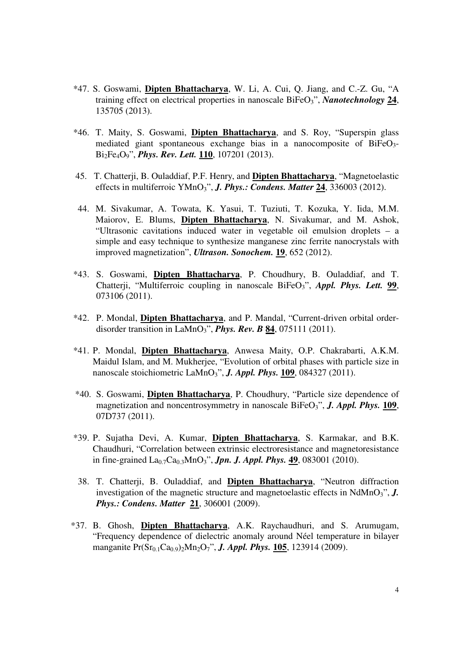- \*47. S. Goswami, **Dipten Bhattacharya**, W. Li, A. Cui, Q. Jiang, and C.-Z. Gu, "A training effect on electrical properties in nanoscale BiFeO3", *Nanotechnology* **24**, 135705 (2013).
- \*46. T. Maity, S. Goswami, **Dipten Bhattacharya**, and S. Roy, "Superspin glass mediated giant spontaneous exchange bias in a nanocomposite of  $BiFeO<sub>3</sub>$ Bi2Fe4O9", *Phys. Rev. Lett.* **110**, 107201 (2013).
- 45. T. Chatterji, B. Ouladdiaf, P.F. Henry, and **Dipten Bhattacharya**, "Magnetoelastic effects in multiferroic YMnO3", *J. Phys.: Condens. Matter* **24**, 336003 (2012).
- 44. M. Sivakumar, A. Towata, K. Yasui, T. Tuziuti, T. Kozuka, Y. Iida, M.M. Maiorov, E. Blums, **Dipten Bhattacharya**, N. Sivakumar, and M. Ashok, "Ultrasonic cavitations induced water in vegetable oil emulsion droplets – a simple and easy technique to synthesize manganese zinc ferrite nanocrystals with improved magnetization", *Ultrason. Sonochem.* **19**, 652 (2012).
- \*43. S. Goswami, **Dipten Bhattacharya**, P. Choudhury, B. Ouladdiaf, and T. Chatterji, "Multiferroic coupling in nanoscale BiFeO<sub>3</sub>", *Appl. Phys. Lett.* 99, 073106 (2011).
- \*42. P. Mondal, **Dipten Bhattacharya**, and P. Mandal, "Current-driven orbital orderdisorder transition in LaMnO3", *Phys. Rev. B* **84**, 075111 (2011).
- \*41. P. Mondal, **Dipten Bhattacharya**, Anwesa Maity, O.P. Chakrabarti, A.K.M. Maidul Islam, and M. Mukherjee, "Evolution of orbital phases with particle size in nanoscale stoichiometric LaMnO3", *J. Appl. Phys.* **109**, 084327 (2011).
- \*40. S. Goswami, **Dipten Bhattacharya**, P. Choudhury, "Particle size dependence of magnetization and noncentrosymmetry in nanoscale BiFeO<sub>3</sub>", *J. Appl. Phys.* 109, 07D737 (2011).
- \*39. P. Sujatha Devi, A. Kumar, **Dipten Bhattacharya**, S. Karmakar, and B.K. Chaudhuri, "Correlation between extrinsic electroresistance and magnetoresistance in fine-grained La0.7Ca0.3MnO3", *Jpn. J. Appl. Phys.* **49**, 083001 (2010).
- 38. T. Chatterji, B. Ouladdiaf, and **Dipten Bhattacharya**, "Neutron diffraction investigation of the magnetic structure and magnetoelastic effects in NdMnO<sub>3</sub>", *J. Phys.: Condens. Matter* **21**, 306001 (2009).
- \*37. B. Ghosh, **Dipten Bhattacharya**, A.K. Raychaudhuri, and S. Arumugam, "Frequency dependence of dielectric anomaly around Néel temperature in bilayer manganite Pr(Sr<sub>0.1</sub>Ca<sub>0.9</sub>)<sub>2</sub>Mn<sub>2</sub>O<sub>7</sub>", *J. Appl. Phys.* 105, 123914 (2009).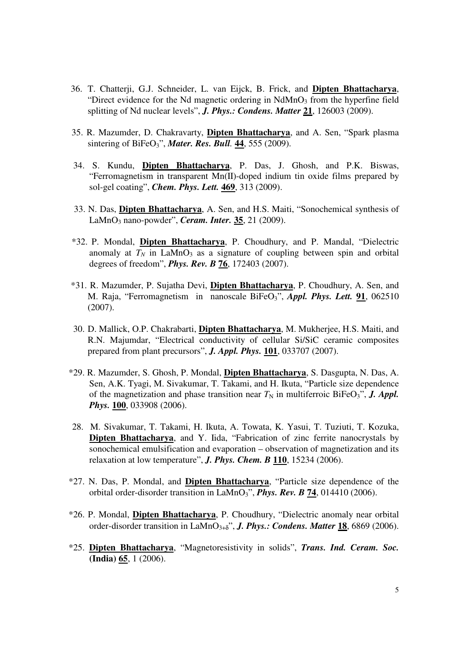- 36. T. Chatterji, G.J. Schneider, L. van Eijck, B. Frick, and **Dipten Bhattacharya**, "Direct evidence for the Nd magnetic ordering in  $NdMnO<sub>3</sub>$  from the hyperfine field splitting of Nd nuclear levels", *J. Phys.: Condens. Matter* **21**, 126003 (2009).
- 35. R. Mazumder, D. Chakravarty, **Dipten Bhattacharya**, and A. Sen, "Spark plasma sintering of BiFeO3", *Mater. Res. Bull.* **44**, 555 (2009).
- 34. S. Kundu, **Dipten Bhattacharya**, P. Das, J. Ghosh, and P.K. Biswas, "Ferromagnetism in transparent Mn(II)-doped indium tin oxide films prepared by sol-gel coating", *Chem. Phys. Lett.* **469**, 313 (2009).
- 33. N. Das, **Dipten Bhattacharya**, A. Sen, and H.S. Maiti, "Sonochemical synthesis of LaMnO3 nano-powder", *Ceram. Inter.* **35**, 21 (2009).
- \*32. P. Mondal, **Dipten Bhattacharya**, P. Choudhury, and P. Mandal, "Dielectric anomaly at  $T_N$  in LaMnO<sub>3</sub> as a signature of coupling between spin and orbital degrees of freedom", *Phys. Rev. B* **76**, 172403 (2007).
- \*31. R. Mazumder, P. Sujatha Devi, **Dipten Bhattacharya**, P. Choudhury, A. Sen, and M. Raja, "Ferromagnetism in nanoscale BiFeO<sub>3</sub>", *Appl. Phys. Lett.* 91, 062510 (2007).
- 30. D. Mallick, O.P. Chakrabarti, **Dipten Bhattacharya**, M. Mukherjee, H.S. Maiti, and R.N. Majumdar, "Electrical conductivity of cellular Si/SiC ceramic composites prepared from plant precursors", *J. Appl. Phys.* **101**, 033707 (2007).
- \*29. R. Mazumder, S. Ghosh, P. Mondal, **Dipten Bhattacharya**, S. Dasgupta, N. Das, A. Sen, A.K. Tyagi, M. Sivakumar, T. Takami, and H. Ikuta, "Particle size dependence of the magnetization and phase transition near  $T_N$  in multiferroic BiFeO<sub>3</sub>", *J. Appl. Phys.* **100**, 033908 (2006).
- 28. M. Sivakumar, T. Takami, H. Ikuta, A. Towata, K. Yasui, T. Tuziuti, T. Kozuka, **Dipten Bhattacharya**, and Y. Iida, "Fabrication of zinc ferrite nanocrystals by sonochemical emulsification and evaporation – observation of magnetization and its relaxation at low temperature", *J. Phys. Chem. B* **110**, 15234 (2006).
- \*27. N. Das, P. Mondal, and **Dipten Bhattacharya**, "Particle size dependence of the orbital order-disorder transition in LaMnO3", *Phys. Rev. B* **74**, 014410 (2006).
- \*26. P. Mondal, **Dipten Bhattacharya**, P. Choudhury, "Dielectric anomaly near orbital order-disorder transition in LaMnO3+<sup>δ</sup>", *J. Phys.: Condens. Matter* **18**, 6869 (2006).
- \*25. **Dipten Bhattacharya**, "Magnetoresistivity in solids", *Trans. Ind. Ceram. Soc.* **(India) 65**, 1 (2006).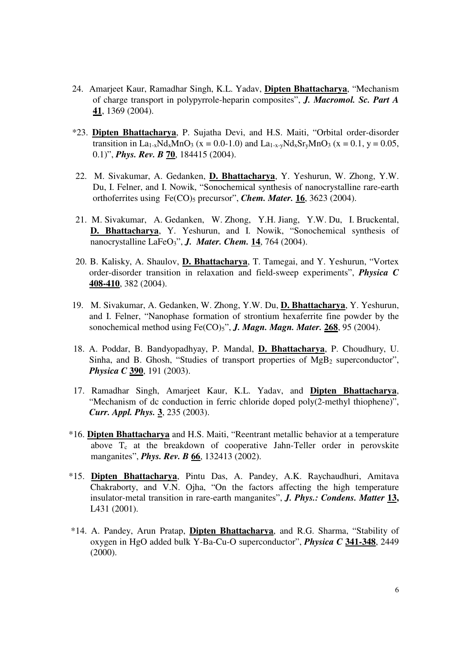- 24. Amarjeet Kaur, Ramadhar Singh, K.L. Yadav, **Dipten Bhattacharya**, "Mechanism of charge transport in polypyrrole-heparin composites", *J. Macromol. Sc. Part A* **41**, 1369 (2004).
- \*23. **Dipten Bhattacharya**, P. Sujatha Devi, and H.S. Maiti, "Orbital order-disorder transition in La<sub>1-x</sub>Nd<sub>x</sub>MnO<sub>3</sub> (x = 0.0-1.0) and La<sub>1-x-y</sub>Nd<sub>x</sub>Sr<sub>y</sub>MnO<sub>3</sub> (x = 0.1, y = 0.05, 0.1)", *Phys. Rev. B* **70**, 184415 (2004).
- 22. M. Sivakumar, A. Gedanken, **D. Bhattacharya**, Y. Yeshurun, W. Zhong, Y.W. Du, I. Felner, and I. Nowik, "Sonochemical synthesis of nanocrystalline rare-earth orthoferrites using Fe(CO)<sub>5</sub> precursor", *Chem. Mater.* 16, 3623 (2004).
- 21. M. Sivakumar, A. Gedanken, W. Zhong, Y.H. Jiang, Y.W. Du, I. Bruckental, **D. Bhattacharya**, Y. Yeshurun, and I. Nowik, "Sonochemical synthesis of nanocrystalline LaFeO3", *J. Mater. Chem.* **14**, 764 (2004).
- 20. B. Kalisky, A. Shaulov, **D. Bhattacharya**, T. Tamegai, and Y. Yeshurun, "Vortex order-disorder transition in relaxation and field-sweep experiments", *Physica C* **408-410**, 382 (2004).
- 19. M. Sivakumar, A. Gedanken, W. Zhong, Y.W. Du, **D. Bhattacharya**, Y. Yeshurun, and I. Felner, "Nanophase formation of strontium hexaferrite fine powder by the sonochemical method using Fe(CO)5", *J. Magn. Magn. Mater.* **268**, 95 (2004).
- 18. A. Poddar, B. Bandyopadhyay, P. Mandal, **D. Bhattacharya**, P. Choudhury, U. Sinha, and B. Ghosh, "Studies of transport properties of  $MgB<sub>2</sub>$  superconductor", *Physica C* **390**, 191 (2003).
- 17. Ramadhar Singh, Amarjeet Kaur, K.L. Yadav, and **Dipten Bhattacharya**, "Mechanism of dc conduction in ferric chloride doped poly(2-methyl thiophene)", *Curr. Appl. Phys.* **3**, 235 (2003).
- \*16. **Dipten Bhattacharya** and H.S. Maiti, "Reentrant metallic behavior at a temperature above  $T_c$  at the breakdown of cooperative Jahn-Teller order in perovskite manganites", *Phys. Rev. B* **66**, 132413 (2002).
- \*15. **Dipten Bhattacharya**, Pintu Das, A. Pandey, A.K. Raychaudhuri, Amitava Chakraborty, and V.N. Ojha, "On the factors affecting the high temperature insulator-metal transition in rare-earth manganites", *J. Phys.: Condens. Matter* **13,**  L431 (2001).
- \*14. A. Pandey, Arun Pratap, **Dipten Bhattacharya**, and R.G. Sharma, "Stability of oxygen in HgO added bulk Y-Ba-Cu-O superconductor", *Physica C* **341-348**, 2449 (2000).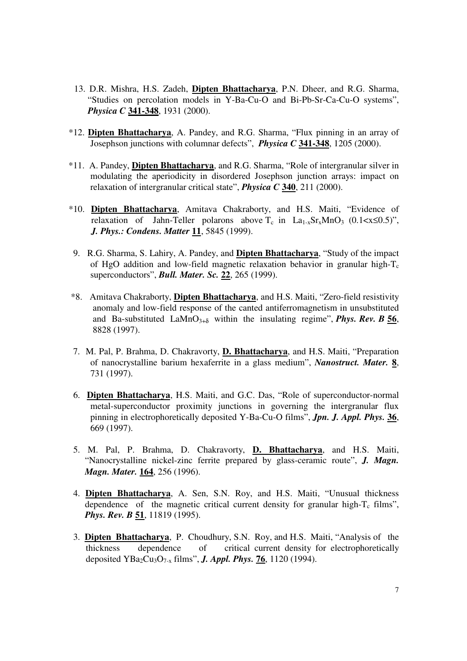- 13. D.R. Mishra, H.S. Zadeh, **Dipten Bhattacharya**, P.N. Dheer, and R.G. Sharma, "Studies on percolation models in Y-Ba-Cu-O and Bi-Pb-Sr-Ca-Cu-O systems", *Physica C* **341-348**, 1931 (2000).
- \*12. **Dipten Bhattacharya**, A. Pandey, and R.G. Sharma, "Flux pinning in an array of Josephson junctions with columnar defects", *Physica C* **341-348**, 1205 (2000).
- \*11. A. Pandey, **Dipten Bhattacharya**, and R.G. Sharma, "Role of intergranular silver in modulating the aperiodicity in disordered Josephson junction arrays: impact on relaxation of intergranular critical state", *Physica C* **340**, 211 (2000).
- \*10. **Dipten Bhattacharya**, Amitava Chakraborty, and H.S. Maiti, "Evidence of relaxation of Jahn-Teller polarons above  $T_c$  in La<sub>1-x</sub>Sr<sub>x</sub>MnO<sub>3</sub> (0.1<x≤0.5)", *J. Phys.: Condens. Matter* **11**, 5845 (1999).
- 9. R.G. Sharma, S. Lahiry, A. Pandey, and **Dipten Bhattacharya**, "Study of the impact of HgO addition and low-field magnetic relaxation behavior in granular high- $T_c$ superconductors", *Bull. Mater. Sc.* **22**, 265 (1999).
- \*8. Amitava Chakraborty, **Dipten Bhattacharya**, and H.S. Maiti, "Zero-field resistivity anomaly and low-field response of the canted antiferromagnetism in unsubstituted and Ba-substituted LaMnO<sub>3+ $\delta$ </sub> within the insulating regime", *Phys. Rev. B* 56, 8828 (1997).
- 7. M. Pal, P. Brahma, D. Chakravorty, **D. Bhattacharya**, and H.S. Maiti, "Preparation of nanocrystalline barium hexaferrite in a glass medium", *Nanostruct. Mater.* **8**, 731 (1997).
- 6. **Dipten Bhattacharya**, H.S. Maiti, and G.C. Das, "Role of superconductor-normal metal-superconductor proximity junctions in governing the intergranular flux pinning in electrophoretically deposited Y-Ba-Cu-O films", *Jpn. J. Appl. Phys.* **36**, 669 (1997).
- 5. M. Pal, P. Brahma, D. Chakravorty, **D. Bhattacharya**, and H.S. Maiti, "Nanocrystalline nickel-zinc ferrite prepared by glass-ceramic route", *J. Magn. Magn. Mater.* **164**, 256 (1996).
- 4. **Dipten Bhattacharya**, A. Sen, S.N. Roy, and H.S. Maiti, "Unusual thickness dependence of the magnetic critical current density for granular high- $T_c$  films", *Phys. Rev. B* **51**, 11819 (1995).
- 3. **Dipten Bhattacharya**, P. Choudhury, S.N. Roy, and H.S. Maiti, "Analysis of the thickness dependence of critical current density for electrophoretically deposited YBa2Cu3O7-x films", *J. Appl. Phys.* **76**, 1120 (1994).